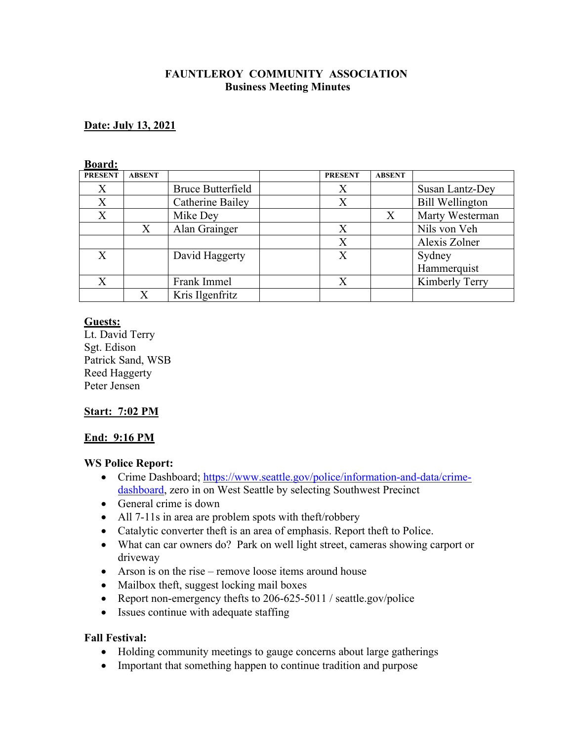### **FAUNTLEROY COMMUNITY ASSOCIATION Business Meeting Minutes**

### **Date: July 13, 2021**

#### **Board:**

| <b>PRESENT</b> | <b>ABSENT</b> |                          | <b>PRESENT</b> | <b>ABSENT</b>             |                        |
|----------------|---------------|--------------------------|----------------|---------------------------|------------------------|
| X              |               | <b>Bruce Butterfield</b> | X              |                           | Susan Lantz-Dey        |
| X              |               | Catherine Bailey         | X              |                           | <b>Bill Wellington</b> |
| X              |               | Mike Dey                 |                | $\boldsymbol{\mathrm{X}}$ | Marty Westerman        |
|                | Χ             | Alan Grainger            |                |                           | Nils von Veh           |
|                |               |                          | X              |                           | Alexis Zolner          |
| X              |               | David Haggerty           | X              |                           | Sydney                 |
|                |               |                          |                |                           | Hammerquist            |
| X              |               | Frank Immel              | X              |                           | Kimberly Terry         |
|                | X             | Kris Ilgenfritz          |                |                           |                        |

#### **Guests:**

Lt. David Terry Sgt. Edison Patrick Sand, WSB Reed Haggerty Peter Jensen

#### **Start: 7:02 PM**

#### **End: 9:16 PM**

#### **WS Police Report:**

- Crime Dashboard; https://www.seattle.gov/police/information-and-data/crimedashboard, zero in on West Seattle by selecting Southwest Precinct
- General crime is down
- All 7-11s in area are problem spots with theft/robbery
- Catalytic converter theft is an area of emphasis. Report theft to Police.
- What can car owners do? Park on well light street, cameras showing carport or driveway
- Arson is on the rise remove loose items around house
- Mailbox theft, suggest locking mail boxes
- Report non-emergency thefts to 206-625-5011 / seattle.gov/police
- Issues continue with adequate staffing

#### **Fall Festival:**

- Holding community meetings to gauge concerns about large gatherings
- Important that something happen to continue tradition and purpose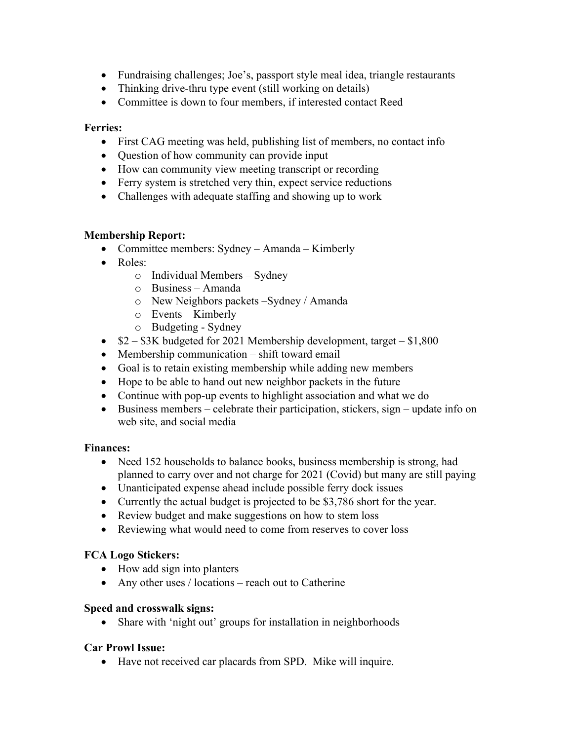- Fundraising challenges; Joe's, passport style meal idea, triangle restaurants
- Thinking drive-thru type event (still working on details)
- Committee is down to four members, if interested contact Reed

### **Ferries:**

- First CAG meeting was held, publishing list of members, no contact info
- Question of how community can provide input
- How can community view meeting transcript or recording
- Ferry system is stretched very thin, expect service reductions
- Challenges with adequate staffing and showing up to work

## **Membership Report:**

- Committee members: Sydney Amanda Kimberly
- Roles:
	- o Individual Members Sydney
		- o Business Amanda
		- o New Neighbors packets –Sydney / Amanda
		- o Events Kimberly
		- o Budgeting Sydney
- $$2 $3K$  budgeted for 2021 Membership development, target  $$1,800$
- Membership communication shift toward email
- Goal is to retain existing membership while adding new members
- Hope to be able to hand out new neighbor packets in the future
- Continue with pop-up events to highlight association and what we do
- Business members celebrate their participation, stickers, sign update info on web site, and social media

#### **Finances:**

- Need 152 households to balance books, business membership is strong, had planned to carry over and not charge for 2021 (Covid) but many are still paying
- Unanticipated expense ahead include possible ferry dock issues
- Currently the actual budget is projected to be \$3,786 short for the year.
- Review budget and make suggestions on how to stem loss
- Reviewing what would need to come from reserves to cover loss

## **FCA Logo Stickers:**

- How add sign into planters
- Any other uses / locations reach out to Catherine

## **Speed and crosswalk signs:**

• Share with 'night out' groups for installation in neighborhoods

## **Car Prowl Issue:**

• Have not received car placards from SPD. Mike will inquire.